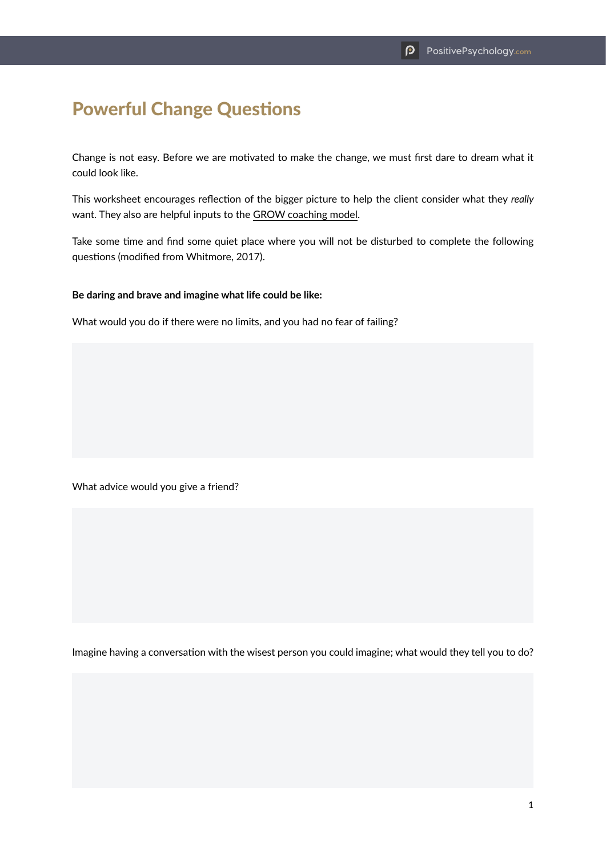## Powerful Change Questions

Change is not easy. Before we are motivated to make the change, we must first dare to dream what it could look like.

This worksheet encourages reflection of the bigger picture to help the client consider what they *really*  want. They also are helpful inputs to the GROW coaching model.

Take some time and find some quiet place where you will not be disturbed to complete the following questions (modified from Whitmore, 2017).

## **Be daring and brave and imagine what life could be like:**

What would you do if there were no limits, and you had no fear of failing?

What advice would you give a friend?

Imagine having a conversation with the wisest person you could imagine; what would they tell you to do?